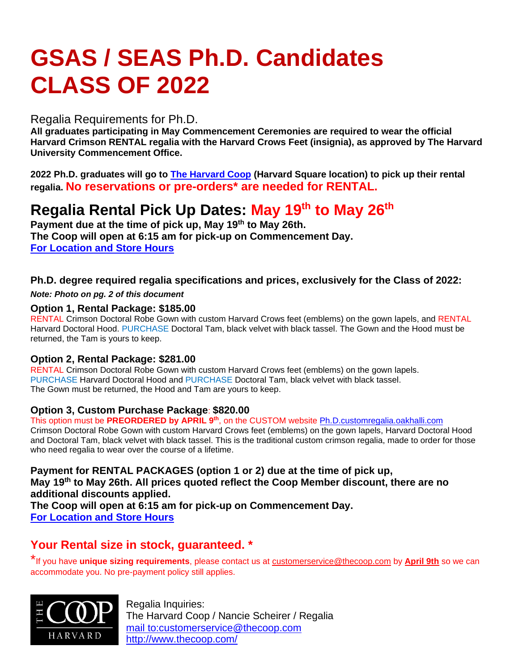# **GSAS / SEAS Ph.D. Candidates CLASS OF 2022**

### Regalia Requirements for Ph.D.

**All graduates participating in May Commencement Ceremonies are required to wear the official Harvard Crimson RENTAL regalia with the Harvard Crows Feet (insignia), as approved by The Harvard University Commencement Office.**

**2022 Ph.D. graduates will go to [The Harvard Coop](http://www.thecoop.com/) (Harvard Square location) to pick up their rental regalia. No reservations or pre-orders\* are needed for RENTAL.**

# **Regalia Rental Pick Up Dates: May 19 th to May 26 th**

**Payment due at the time of pick up, May 19th to May 26th. The Coop will open at 6:15 am for pick-up on Commencement Day. [For Location and Store Hours](https://store.thecoop.com/store-locations/)**

#### **Ph.D. degree required regalia specifications and prices, exclusively for the Class of 2022:**

*Note: Photo on pg. 2 of this document*

#### **Option 1, Rental Package: \$185.00**

RENTAL Crimson Doctoral Robe Gown with custom Harvard Crows feet (emblems) on the gown lapels, and RENTAL Harvard Doctoral Hood. PURCHASE Doctoral Tam, black velvet with black tassel. The Gown and the Hood must be returned, the Tam is yours to keep.

#### **Option 2, Rental Package: \$281.00**

RENTAL Crimson Doctoral Robe Gown with custom Harvard Crows feet (emblems) on the gown lapels. PURCHASE Harvard Doctoral Hood and PURCHASE Doctoral Tam, black velvet with black tassel. The Gown must be returned, the Hood and Tam are yours to keep.

#### **Option 3, Custom Purchase Package**: **\$820.00**

This option must be **PREORDERED by APRIL 9th** , on the CUSTOM website [Ph.D.customregalia.oakhalli.com](https://harvardfinequality.shopoakhalli.com/purchasewizard/Welcome)

Crimson Doctoral Robe Gown with custom Harvard Crows feet (emblems) on the gown lapels, Harvard Doctoral Hood and Doctoral Tam, black velvet with black tassel. This is the traditional custom crimson regalia, made to order for those who need regalia to wear over the course of a lifetime.

**Payment for RENTAL PACKAGES (option 1 or 2) due at the time of pick up, May 19th to May 26th. All prices quoted reflect the Coop Member discount, there are no additional discounts applied. The Coop will open at 6:15 am for pick-up on Commencement Day. [For Location and Store Hours](https://store.thecoop.com/store-locations/)**

## **Your Rental size in stock, guaranteed. \***

\*If you have **unique sizing requirements**, please contact us at [customerservice@thecoop.com](mailto:customerservice@thecoop.com) by **April 9th** so we can accommodate you. No pre-payment policy still applies.



Regalia Inquiries: The Harvard Coop / Nancie Scheirer / Regalia mail [to:customerservice@thecoop.com](mailto:customerservice@thecoop.com) <http://www.thecoop.com/>